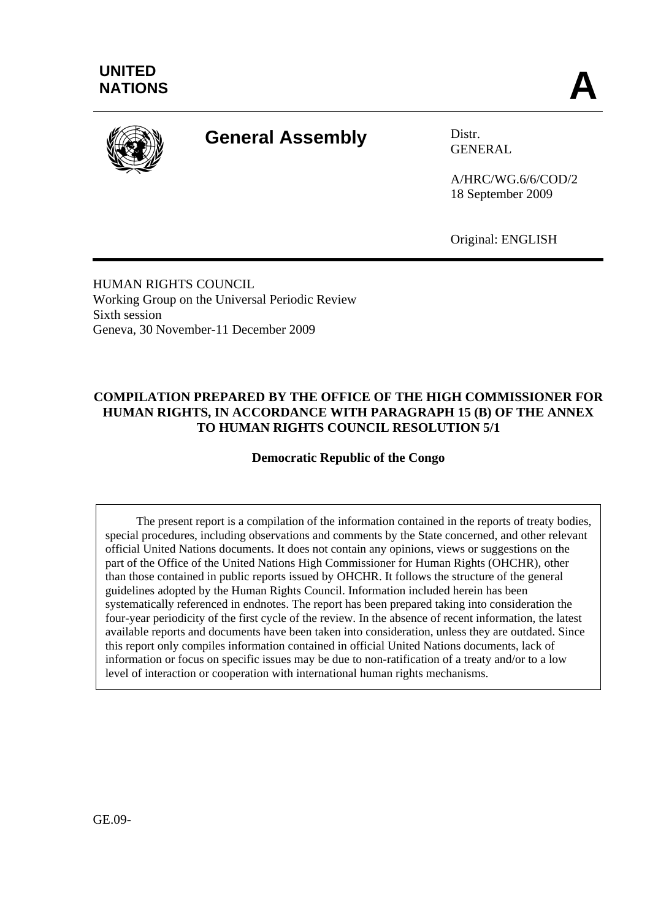

# **General Assembly Distr.**

GENERAL

A/HRC/WG.6/6/COD/2 18 September 2009

Original: ENGLISH

HUMAN RIGHTS COUNCIL Working Group on the Universal Periodic Review Sixth session Geneva, 30 November-11 December 2009

# **COMPILATION PREPARED BY THE OFFICE OF THE HIGH COMMISSIONER FOR HUMAN RIGHTS, IN ACCORDANCE WITH PARAGRAPH 15 (B) OF THE ANNEX TO HUMAN RIGHTS COUNCIL RESOLUTION 5/1**

**Democratic Republic of the Congo** 

 The present report is a compilation of the information contained in the reports of treaty bodies, special procedures, including observations and comments by the State concerned, and other relevant official United Nations documents. It does not contain any opinions, views or suggestions on the part of the Office of the United Nations High Commissioner for Human Rights (OHCHR), other than those contained in public reports issued by OHCHR. It follows the structure of the general guidelines adopted by the Human Rights Council. Information included herein has been systematically referenced in endnotes. The report has been prepared taking into consideration the four-year periodicity of the first cycle of the review. In the absence of recent information, the latest available reports and documents have been taken into consideration, unless they are outdated. Since this report only compiles information contained in official United Nations documents, lack of information or focus on specific issues may be due to non-ratification of a treaty and/or to a low level of interaction or cooperation with international human rights mechanisms.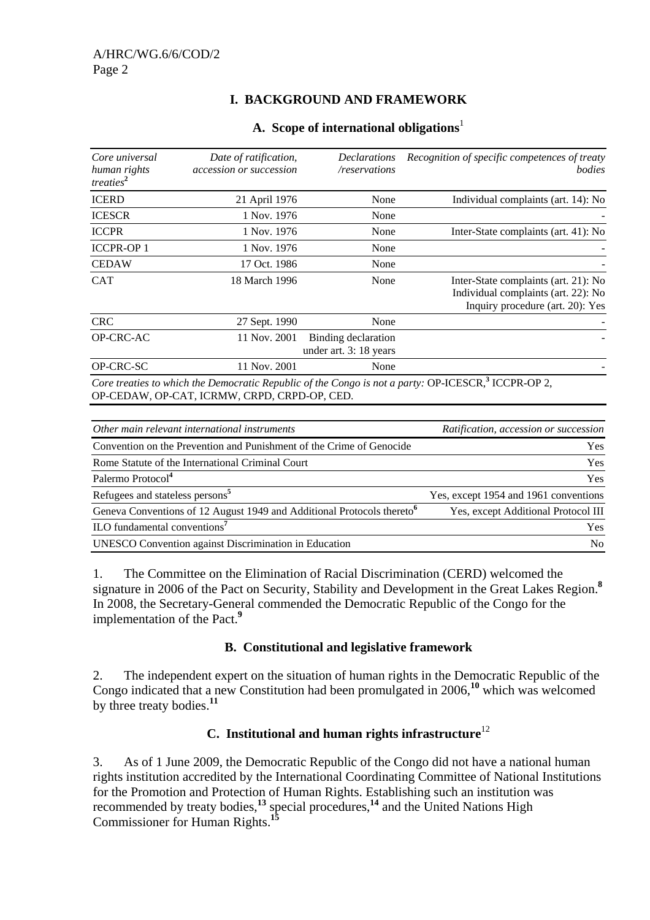# **I. BACKGROUND AND FRAMEWORK**

| Core universal<br>human rights<br>treaties <sup>2</sup> | Date of ratification,<br><i>accession or succession</i> | <i>Declarations</i><br>/reservations          | Recognition of specific competences of treaty<br>bodies                                                         |
|---------------------------------------------------------|---------------------------------------------------------|-----------------------------------------------|-----------------------------------------------------------------------------------------------------------------|
| <b>ICERD</b>                                            | 21 April 1976                                           | None                                          | Individual complaints (art. 14): No                                                                             |
| <b>ICESCR</b>                                           | 1 Nov. 1976                                             | None                                          |                                                                                                                 |
| <b>ICCPR</b>                                            | 1 Nov. 1976                                             | None                                          | Inter-State complaints (art. 41): No                                                                            |
| <b>ICCPR-OP1</b>                                        | 1 Nov. 1976                                             | None                                          |                                                                                                                 |
| <b>CEDAW</b>                                            | 17 Oct. 1986                                            | None                                          |                                                                                                                 |
| <b>CAT</b>                                              | 18 March 1996                                           | None                                          | Inter-State complaints (art. 21): No<br>Individual complaints (art. 22): No<br>Inquiry procedure (art. 20): Yes |
| <b>CRC</b>                                              | 27 Sept. 1990                                           | None                                          |                                                                                                                 |
| OP-CRC-AC                                               | 11 Nov. 2001                                            | Binding declaration<br>under art. 3: 18 years |                                                                                                                 |
| OP-CRC-SC                                               | 11 Nov. 2001                                            | None                                          |                                                                                                                 |
|                                                         |                                                         |                                               | Core treaties to which the Democratic Republic of the Congo is not a party: OP-ICESCR, <sup>3</sup> ICCPR-OP 2, |

#### **A. Scope of international obligations**<sup>1</sup>

OP-CEDAW, OP-CAT, ICRMW, CRPD, CRPD-OP, CED.

| Other main relevant international instruments                                      | Ratification, accession or succession |
|------------------------------------------------------------------------------------|---------------------------------------|
| Convention on the Prevention and Punishment of the Crime of Genocide               | Yes                                   |
| Rome Statute of the International Criminal Court                                   | <b>Yes</b>                            |
| Palermo Protocol <sup>4</sup>                                                      | Yes                                   |
| Refugees and stateless persons <sup>5</sup>                                        | Yes, except 1954 and 1961 conventions |
| Geneva Conventions of 12 August 1949 and Additional Protocols thereto <sup>6</sup> | Yes, except Additional Protocol III   |
| ILO fundamental conventions <sup>7</sup>                                           | <b>Yes</b>                            |
| <b>UNESCO</b> Convention against Discrimination in Education                       | N <sub>0</sub>                        |

1. The Committee on the Elimination of Racial Discrimination (CERD) welcomed the signature in 2006 of the Pact on Security, Stability and Development in the Great Lakes Region.**<sup>8</sup>** In 2008, the Secretary-General commended the Democratic Republic of the Congo for the implementation of the Pact.**<sup>9</sup>**

### **B. Constitutional and legislative framework**

2. The independent expert on the situation of human rights in the Democratic Republic of the Congo indicated that a new Constitution had been promulgated in 2006,**<sup>10</sup>** which was welcomed by three treaty bodies.**<sup>11</sup>**

### **C. Institutional and human rights infrastructure**<sup>12</sup>

3. As of 1 June 2009, the Democratic Republic of the Congo did not have a national human rights institution accredited by the International Coordinating Committee of National Institutions for the Promotion and Protection of Human Rights. Establishing such an institution was recommended by treaty bodies,**<sup>13</sup>** special procedures,**<sup>14</sup>** and the United Nations High Commissioner for Human Rights.**<sup>15</sup>**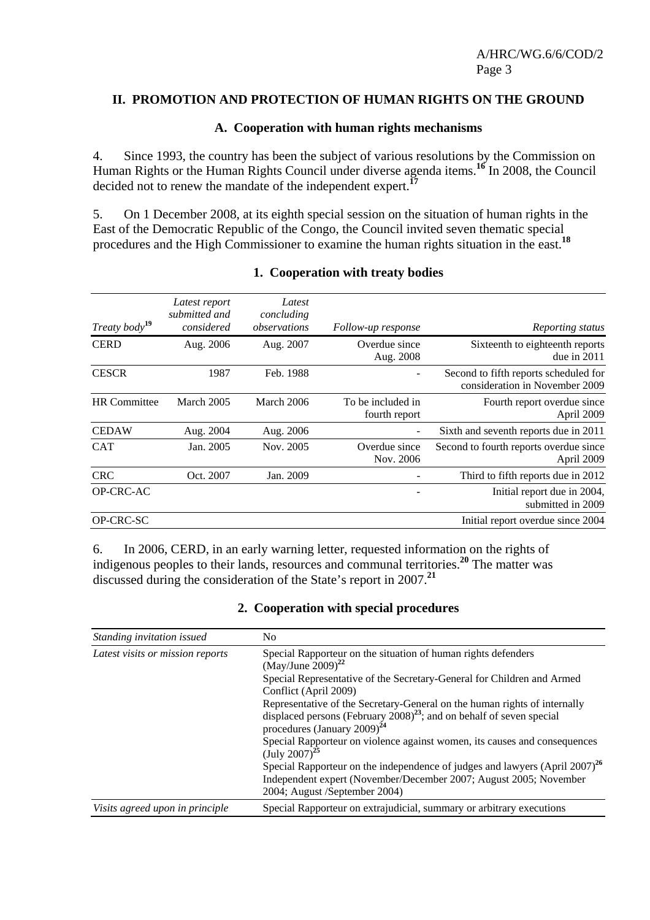### **II. PROMOTION AND PROTECTION OF HUMAN RIGHTS ON THE GROUND**

### **A. Cooperation with human rights mechanisms**

4. Since 1993, the country has been the subject of various resolutions by the Commission on Human Rights or the Human Rights Council under diverse agenda items.**<sup>16</sup>** In 2008, the Council decided not to renew the mandate of the independent expert.**<sup>17</sup>**

5. On 1 December 2008, at its eighth special session on the situation of human rights in the East of the Democratic Republic of the Congo, the Council invited seven thematic special procedures and the High Commissioner to examine the human rights situation in the east.**<sup>18</sup>**

| Treaty body <sup>19</sup> | Latest report<br>submitted and<br>considered | Latest<br>concluding<br>observations | Follow-up response                 | Reporting status                                                        |
|---------------------------|----------------------------------------------|--------------------------------------|------------------------------------|-------------------------------------------------------------------------|
| <b>CERD</b>               | Aug. 2006                                    | Aug. 2007                            | Overdue since<br>Aug. 2008         | Sixteenth to eighteenth reports<br>due in $2011$                        |
| <b>CESCR</b>              | 1987                                         | Feb. 1988                            | $\qquad \qquad -$                  | Second to fifth reports scheduled for<br>consideration in November 2009 |
| <b>HR</b> Committee       | March 2005                                   | March 2006                           | To be included in<br>fourth report | Fourth report overdue since<br>April 2009                               |
| <b>CEDAW</b>              | Aug. 2004                                    | Aug. 2006                            | $\overline{a}$                     | Sixth and seventh reports due in 2011                                   |
| <b>CAT</b>                | Jan. 2005                                    | Nov. 2005                            | Overdue since<br>Nov. 2006         | Second to fourth reports overdue since<br>April 2009                    |
| <b>CRC</b>                | Oct. 2007                                    | Jan. 2009                            |                                    | Third to fifth reports due in 2012                                      |
| OP-CRC-AC                 |                                              |                                      |                                    | Initial report due in 2004,<br>submitted in 2009                        |
| OP-CRC-SC                 |                                              |                                      |                                    | Initial report overdue since 2004                                       |

#### **1. Cooperation with treaty bodies**

6. In 2006, CERD, in an early warning letter, requested information on the rights of indigenous peoples to their lands, resources and communal territories.**<sup>20</sup>** The matter was discussed during the consideration of the State's report in 2007.**<sup>21</sup>**

### **2. Cooperation with special procedures**

| Standing invitation issued       | No                                                                                                                                                                                                                                                                                                                                                                                                  |
|----------------------------------|-----------------------------------------------------------------------------------------------------------------------------------------------------------------------------------------------------------------------------------------------------------------------------------------------------------------------------------------------------------------------------------------------------|
| Latest visits or mission reports | Special Rapporteur on the situation of human rights defenders<br>$(May/June 2009)^{22}$<br>Special Representative of the Secretary-General for Children and Armed<br>Conflict (April 2009)<br>Representative of the Secretary-General on the human rights of internally<br>displaced persons (February $2008$ ) <sup>23</sup> ; and on behalf of seven special<br>procedures (January 2009) $^{24}$ |
|                                  | Special Rapporteur on violence against women, its causes and consequences<br>$(July 2007)^{25}$<br>Special Rapporteur on the independence of judges and lawyers (April $2007$ ) <sup>26</sup><br>Independent expert (November/December 2007; August 2005; November<br>2004; August /September 2004)                                                                                                 |
| Visits agreed upon in principle  | Special Rapporteur on extrajudicial, summary or arbitrary executions                                                                                                                                                                                                                                                                                                                                |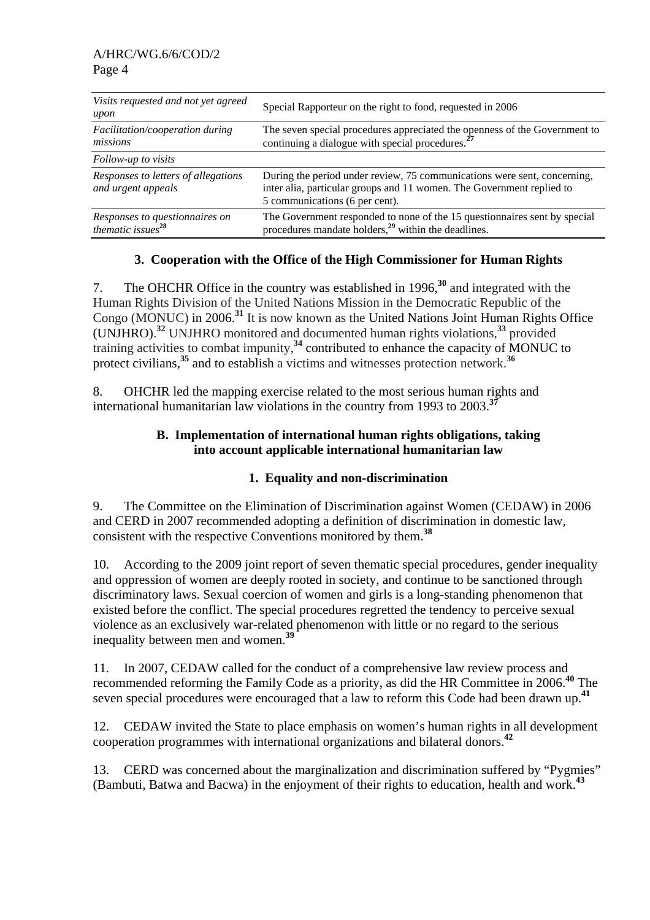| Visits requested and not yet agreed<br>upon                     | Special Rapporteur on the right to food, requested in 2006                                                                                                                          |
|-----------------------------------------------------------------|-------------------------------------------------------------------------------------------------------------------------------------------------------------------------------------|
| Facilitation/cooperation during<br>missions                     | The seven special procedures appreciated the openness of the Government to continuing a dialogue with special procedures. <sup>27</sup>                                             |
| Follow-up to visits                                             |                                                                                                                                                                                     |
| Responses to letters of allegations<br>and urgent appeals       | During the period under review, 75 communications were sent, concerning,<br>inter alia, particular groups and 11 women. The Government replied to<br>5 communications (6 per cent). |
| Responses to questionnaires on<br>thematic issues <sup>28</sup> | The Government responded to none of the 15 questionnaires sent by special<br>procedures mandate holders, <sup>29</sup> within the deadlines.                                        |

# **3. Cooperation with the Office of the High Commissioner for Human Rights**

7. The OHCHR Office in the country was established in 1996,**<sup>30</sup>** and integrated with the Human Rights Division of the United Nations Mission in the Democratic Republic of the Congo (MONUC) in 2006. **<sup>31</sup>** It is now known as the United Nations Joint Human Rights Office (UNJHRO). **<sup>32</sup>** UNJHRO monitored and documented human rights violations,**<sup>33</sup>** provided training activities to combat impunity,**<sup>34</sup>** contributed to enhance the capacity of MONUC to protect civilians,<sup>35</sup> and to establish a victims and witnesses protection network.<sup>36</sup>

8. OHCHR led the mapping exercise related to the most serious human rights and international humanitarian law violations in the country from 1993 to 2003.**<sup>37</sup>**

### **B. Implementation of international human rights obligations, taking into account applicable international humanitarian law**

# **1. Equality and non-discrimination**

9. The Committee on the Elimination of Discrimination against Women (CEDAW) in 2006 and CERD in 2007 recommended adopting a definition of discrimination in domestic law, consistent with the respective Conventions monitored by them.**<sup>38</sup>**

10. According to the 2009 joint report of seven thematic special procedures, gender inequality and oppression of women are deeply rooted in society, and continue to be sanctioned through discriminatory laws. Sexual coercion of women and girls is a long-standing phenomenon that existed before the conflict. The special procedures regretted the tendency to perceive sexual violence as an exclusively war-related phenomenon with little or no regard to the serious inequality between men and women.**<sup>39</sup>**

11. In 2007, CEDAW called for the conduct of a comprehensive law review process and recommended reforming the Family Code as a priority, as did the HR Committee in 2006.**<sup>40</sup>** The seven special procedures were encouraged that a law to reform this Code had been drawn up.**<sup>41</sup>**

12. CEDAW invited the State to place emphasis on women's human rights in all development cooperation programmes with international organizations and bilateral donors.**<sup>42</sup>**

13. CERD was concerned about the marginalization and discrimination suffered by "Pygmies" (Bambuti, Batwa and Bacwa) in the enjoyment of their rights to education, health and work.**<sup>43</sup>**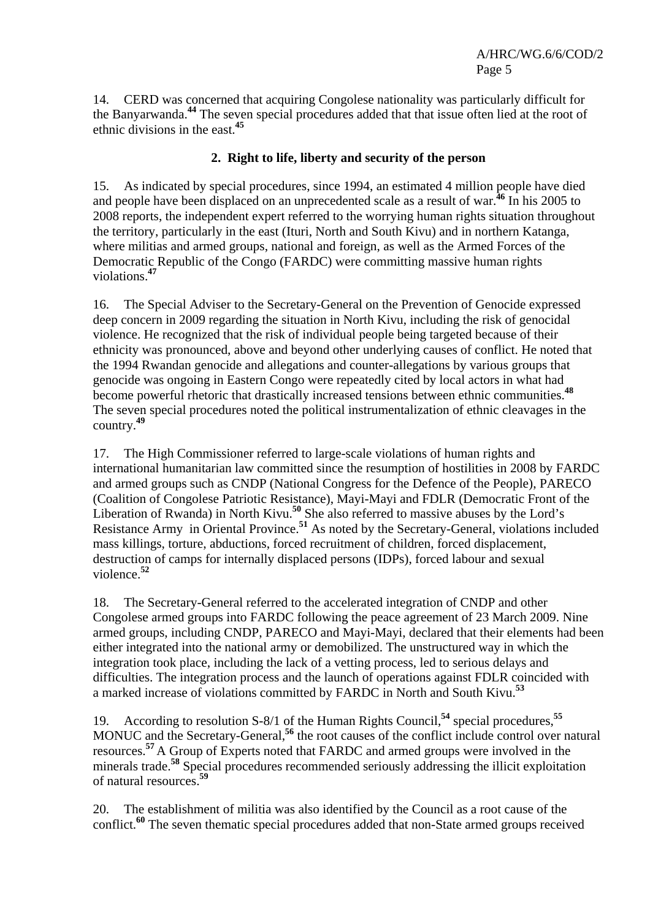14. CERD was concerned that acquiring Congolese nationality was particularly difficult for the Banyarwanda.**<sup>44</sup>** The seven special procedures added that that issue often lied at the root of ethnic divisions in the east.**<sup>45</sup>**

# **2. Right to life, liberty and security of the person**

15. As indicated by special procedures, since 1994, an estimated 4 million people have died and people have been displaced on an unprecedented scale as a result of war.**<sup>46</sup>** In his 2005 to 2008 reports, the independent expert referred to the worrying human rights situation throughout the territory, particularly in the east (Ituri, North and South Kivu) and in northern Katanga, where militias and armed groups, national and foreign, as well as the Armed Forces of the Democratic Republic of the Congo (FARDC) were committing massive human rights violations.**<sup>47</sup>**

16. The Special Adviser to the Secretary-General on the Prevention of Genocide expressed deep concern in 2009 regarding the situation in North Kivu, including the risk of genocidal violence. He recognized that the risk of individual people being targeted because of their ethnicity was pronounced, above and beyond other underlying causes of conflict. He noted that the 1994 Rwandan genocide and allegations and counter-allegations by various groups that genocide was ongoing in Eastern Congo were repeatedly cited by local actors in what had become powerful rhetoric that drastically increased tensions between ethnic communities.**<sup>48</sup>** The seven special procedures noted the political instrumentalization of ethnic cleavages in the country.**<sup>49</sup>**

17. The High Commissioner referred to large-scale violations of human rights and international humanitarian law committed since the resumption of hostilities in 2008 by FARDC and armed groups such as CNDP (National Congress for the Defence of the People), PARECO (Coalition of Congolese Patriotic Resistance), Mayi-Mayi and FDLR (Democratic Front of the Liberation of Rwanda) in North Kivu.**<sup>50</sup>** She also referred to massive abuses by the Lord's Resistance Army in Oriental Province.**<sup>51</sup>** As noted by the Secretary-General, violations included mass killings, torture, abductions, forced recruitment of children, forced displacement, destruction of camps for internally displaced persons (IDPs), forced labour and sexual violence.**<sup>52</sup>**

18. The Secretary-General referred to the accelerated integration of CNDP and other Congolese armed groups into FARDC following the peace agreement of 23 March 2009. Nine armed groups, including CNDP, PARECO and Mayi-Mayi, declared that their elements had been either integrated into the national army or demobilized. The unstructured way in which the integration took place, including the lack of a vetting process, led to serious delays and difficulties. The integration process and the launch of operations against FDLR coincided with a marked increase of violations committed by FARDC in North and South Kivu.**<sup>53</sup>**

19. According to resolution S-8/1 of the Human Rights Council,**<sup>54</sup>** special procedures,**<sup>55</sup>** MONUC and the Secretary-General,<sup>56</sup> the root causes of the conflict include control over natural resources.**<sup>57</sup>** A Group of Experts noted that FARDC and armed groups were involved in the minerals trade.<sup>58</sup> Special procedures recommended seriously addressing the illicit exploitation of natural resources.**<sup>59</sup>**

20. The establishment of militia was also identified by the Council as a root cause of the conflict.**<sup>60</sup>** The seven thematic special procedures added that non-State armed groups received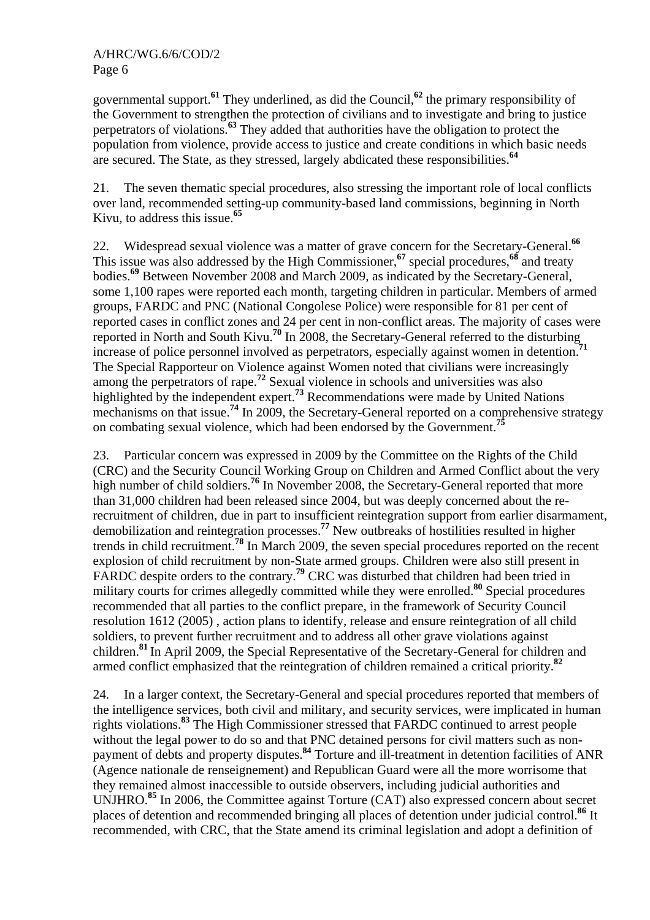governmental support.**<sup>61</sup>** They underlined, as did the Council,**<sup>62</sup>** the primary responsibility of the Government to strengthen the protection of civilians and to investigate and bring to justice perpetrators of violations.**<sup>63</sup>** They added that authorities have the obligation to protect the population from violence, provide access to justice and create conditions in which basic needs are secured. The State, as they stressed, largely abdicated these responsibilities.**<sup>64</sup>**

21. The seven thematic special procedures, also stressing the important role of local conflicts over land, recommended setting-up community-based land commissions, beginning in North Kivu, to address this issue.**<sup>65</sup>**

22. Widespread sexual violence was a matter of grave concern for the Secretary-General.**<sup>66</sup>** This issue was also addressed by the High Commissioner,<sup>67</sup> special procedures,<sup>68</sup> and treaty bodies.**<sup>69</sup>** Between November 2008 and March 2009, as indicated by the Secretary-General, some 1,100 rapes were reported each month, targeting children in particular. Members of armed groups, FARDC and PNC (National Congolese Police) were responsible for 81 per cent of reported cases in conflict zones and 24 per cent in non-conflict areas. The majority of cases were reported in North and South Kivu.<sup>70</sup> In 2008, the Secretary-General referred to the disturbing<br>reported in North and South Kivu.<sup>70</sup> In 2008, the Secretary-General referred to the disturbing<br> $^{71}$ increase of police personnel involved as perpetrators, especially against women in detention. The Special Rapporteur on Violence against Women noted that civilians were increasingly among the perpetrators of rape.**<sup>72</sup>** Sexual violence in schools and universities was also highlighted by the independent expert.<sup>73</sup> Recommendations were made by United Nations mechanisms on that issue.**<sup>74</sup>** In 2009, the Secretary-General reported on a comprehensive strategy on combating sexual violence, which had been endorsed by the Government.**<sup>75</sup>**

23. Particular concern was expressed in 2009 by the Committee on the Rights of the Child (CRC) and the Security Council Working Group on Children and Armed Conflict about the very high number of child soldiers.<sup>76</sup> In November 2008, the Secretary-General reported that more than 31,000 children had been released since 2004, but was deeply concerned about the rerecruitment of children, due in part to insufficient reintegration support from earlier disarmament, demobilization and reintegration processes.**<sup>77</sup>** New outbreaks of hostilities resulted in higher trends in child recruitment.**<sup>78</sup>** In March 2009, the seven special procedures reported on the recent explosion of child recruitment by non-State armed groups. Children were also still present in FARDC despite orders to the contrary.<sup>79</sup> CRC was disturbed that children had been tried in military courts for crimes allegedly committed while they were enrolled.**<sup>80</sup>** Special procedures recommended that all parties to the conflict prepare, in the framework of Security Council resolution 1612 (2005) , action plans to identify, release and ensure reintegration of all child soldiers, to prevent further recruitment and to address all other grave violations against children.**<sup>81</sup>** In April 2009, the Special Representative of the Secretary-General for children and armed conflict emphasized that the reintegration of children remained a critical priority.**<sup>82</sup>**

24. In a larger context, the Secretary-General and special procedures reported that members of the intelligence services, both civil and military, and security services, were implicated in human rights violations.**<sup>83</sup>** The High Commissioner stressed that FARDC continued to arrest people without the legal power to do so and that PNC detained persons for civil matters such as nonpayment of debts and property disputes.**<sup>84</sup>** Torture and ill-treatment in detention facilities of ANR (Agence nationale de renseignement) and Republican Guard were all the more worrisome that they remained almost inaccessible to outside observers, including judicial authorities and UNJHRO.**<sup>85</sup>** In 2006, the Committee against Torture (CAT) also expressed concern about secret places of detention and recommended bringing all places of detention under judicial control.**<sup>86</sup>** It recommended, with CRC, that the State amend its criminal legislation and adopt a definition of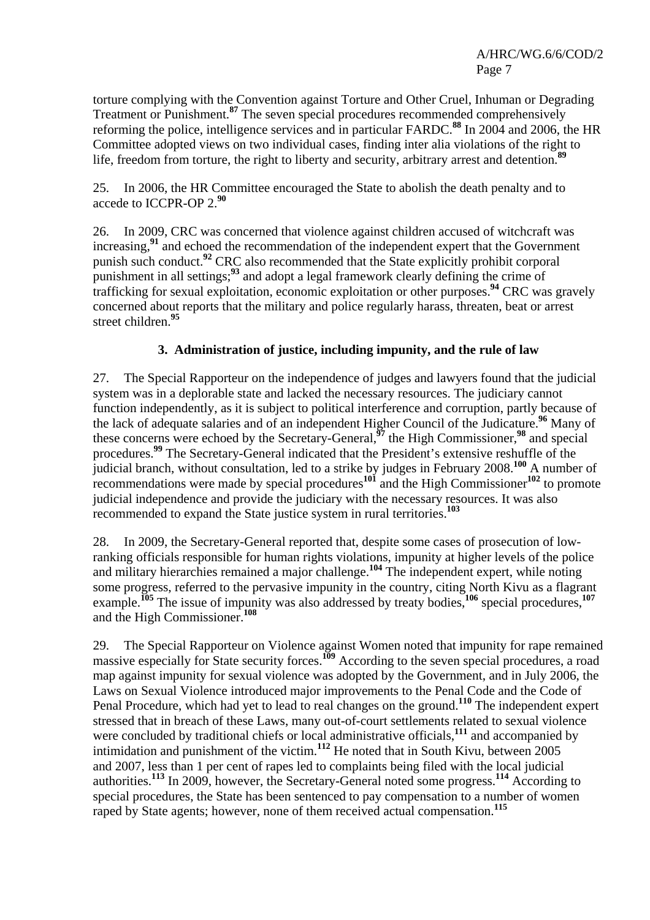torture complying with the Convention against Torture and Other Cruel, Inhuman or Degrading Treatment or Punishment.**<sup>87</sup>** The seven special procedures recommended comprehensively reforming the police, intelligence services and in particular FARDC.**<sup>88</sup>** In 2004 and 2006, the HR Committee adopted views on two individual cases, finding inter alia violations of the right to life, freedom from torture, the right to liberty and security, arbitrary arrest and detention.**<sup>89</sup>**

25. In 2006, the HR Committee encouraged the State to abolish the death penalty and to accede to ICCPR-OP 2.**<sup>90</sup>**

26. In 2009, CRC was concerned that violence against children accused of witchcraft was increasing,**<sup>91</sup>** and echoed the recommendation of the independent expert that the Government punish such conduct.<sup>92</sup> CRC also recommended that the State explicitly prohibit corporal punishment in all settings;**<sup>93</sup>** and adopt a legal framework clearly defining the crime of trafficking for sexual exploitation, economic exploitation or other purposes.**<sup>94</sup>** CRC was gravely concerned about reports that the military and police regularly harass, threaten, beat or arrest street children.**<sup>95</sup>**

# **3. Administration of justice, including impunity, and the rule of law**

27. The Special Rapporteur on the independence of judges and lawyers found that the judicial system was in a deplorable state and lacked the necessary resources. The judiciary cannot function independently, as it is subject to political interference and corruption, partly because of the lack of adequate salaries and of an independent Higher Council of the Judicature.**<sup>96</sup>** Many of these concerns were echoed by the Secretary-General,**<sup>97</sup>** the High Commissioner,**<sup>98</sup>** and special procedures.<sup>99</sup> The Secretary-General indicated that the President's extensive reshuffle of the judicial branch, without consultation, led to a strike by judges in February 2008.**<sup>100</sup>** A number of recommendations were made by special procedures**<sup>101</sup>** and the High Commissioner**<sup>102</sup>** to promote judicial independence and provide the judiciary with the necessary resources. It was also recommended to expand the State justice system in rural territories.**<sup>103</sup>**

28. In 2009, the Secretary-General reported that, despite some cases of prosecution of lowranking officials responsible for human rights violations, impunity at higher levels of the police and military hierarchies remained a major challenge.<sup>104</sup> The independent expert, while noting some progress, referred to the pervasive impunity in the country, citing North Kivu as a flagrant example.**<sup>105</sup>** The issue of impunity was also addressed by treaty bodies,**<sup>106</sup>** special procedures,**<sup>107</sup>** and the High Commissioner.**<sup>108</sup>**

29. The Special Rapporteur on Violence against Women noted that impunity for rape remained massive especially for State security forces.**<sup>109</sup>** According to the seven special procedures, a road map against impunity for sexual violence was adopted by the Government, and in July 2006, the Laws on Sexual Violence introduced major improvements to the Penal Code and the Code of Penal Procedure, which had yet to lead to real changes on the ground.**<sup>110</sup>** The independent expert stressed that in breach of these Laws, many out-of-court settlements related to sexual violence were concluded by traditional chiefs or local administrative officials,**<sup>111</sup>** and accompanied by intimidation and punishment of the victim.**<sup>112</sup>** He noted that in South Kivu, between 2005 and 2007, less than 1 per cent of rapes led to complaints being filed with the local judicial authorities.**<sup>113</sup>** In 2009, however, the Secretary-General noted some progress.**<sup>114</sup>** According to special procedures, the State has been sentenced to pay compensation to a number of women raped by State agents; however, none of them received actual compensation.**<sup>115</sup>**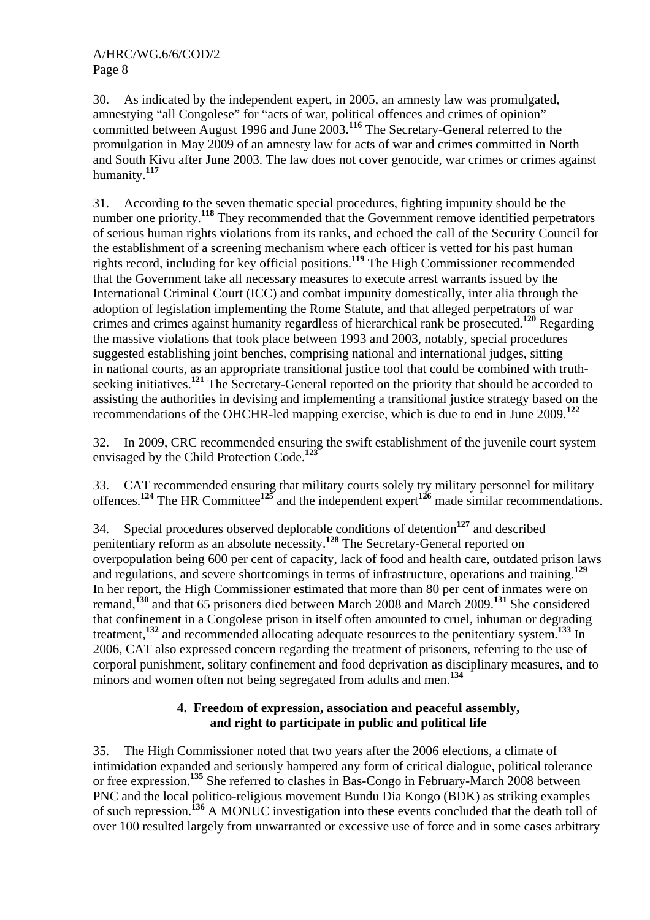30. As indicated by the independent expert, in 2005, an amnesty law was promulgated, amnestying "all Congolese" for "acts of war, political offences and crimes of opinion" committed between August 1996 and June 2003.**<sup>116</sup>** The Secretary-General referred to the promulgation in May 2009 of an amnesty law for acts of war and crimes committed in North and South Kivu after June 2003. The law does not cover genocide, war crimes or crimes against humanity.**<sup>117</sup>**

31. According to the seven thematic special procedures, fighting impunity should be the number one priority.<sup>118</sup> They recommended that the Government remove identified perpetrators of serious human rights violations from its ranks, and echoed the call of the Security Council for the establishment of a screening mechanism where each officer is vetted for his past human rights record, including for key official positions.**<sup>119</sup>** The High Commissioner recommended that the Government take all necessary measures to execute arrest warrants issued by the International Criminal Court (ICC) and combat impunity domestically, inter alia through the adoption of legislation implementing the Rome Statute, and that alleged perpetrators of war crimes and crimes against humanity regardless of hierarchical rank be prosecuted.**<sup>120</sup>** Regarding the massive violations that took place between 1993 and 2003, notably, special procedures suggested establishing joint benches, comprising national and international judges, sitting in national courts, as an appropriate transitional justice tool that could be combined with truthseeking initiatives.<sup>121</sup> The Secretary-General reported on the priority that should be accorded to assisting the authorities in devising and implementing a transitional justice strategy based on the recommendations of the OHCHR-led mapping exercise, which is due to end in June 2009.**<sup>122</sup>**

32. In 2009, CRC recommended ensuring the swift establishment of the juvenile court system envisaged by the Child Protection Code.**<sup>123</sup>**

33. CAT recommended ensuring that military courts solely try military personnel for military offences.**<sup>124</sup>** The HR Committee**<sup>125</sup>** and the independent expert**<sup>126</sup>** made similar recommendations.

34. Special procedures observed deplorable conditions of detention**<sup>127</sup>** and described penitentiary reform as an absolute necessity.**<sup>128</sup>** The Secretary-General reported on overpopulation being 600 per cent of capacity, lack of food and health care, outdated prison laws and regulations, and severe shortcomings in terms of infrastructure, operations and training.**<sup>129</sup>** In her report, the High Commissioner estimated that more than 80 per cent of inmates were on remand,**<sup>130</sup>** and that 65 prisoners died between March 2008 and March 2009.**<sup>131</sup>** She considered that confinement in a Congolese prison in itself often amounted to cruel, inhuman or degrading treatment,**<sup>132</sup>** and recommended allocating adequate resources to the penitentiary system.**<sup>133</sup>** In 2006, CAT also expressed concern regarding the treatment of prisoners, referring to the use of corporal punishment, solitary confinement and food deprivation as disciplinary measures, and to minors and women often not being segregated from adults and men.**<sup>134</sup>**

# **4. Freedom of expression, association and peaceful assembly, and right to participate in public and political life**

35. The High Commissioner noted that two years after the 2006 elections, a climate of intimidation expanded and seriously hampered any form of critical dialogue, political tolerance or free expression.**<sup>135</sup>** She referred to clashes in Bas-Congo in February-March 2008 between PNC and the local politico-religious movement Bundu Dia Kongo (BDK) as striking examples of such repression.**<sup>136</sup>** A MONUC investigation into these events concluded that the death toll of over 100 resulted largely from unwarranted or excessive use of force and in some cases arbitrary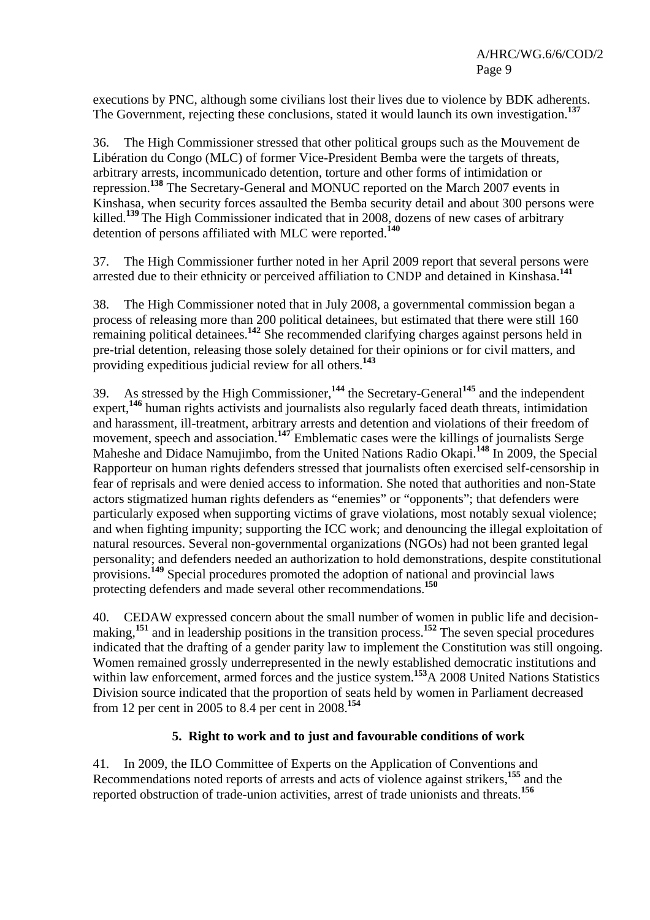executions by PNC, although some civilians lost their lives due to violence by BDK adherents. The Government, rejecting these conclusions, stated it would launch its own investigation.**<sup>137</sup>**

36. The High Commissioner stressed that other political groups such as the Mouvement de Libération du Congo (MLC) of former Vice-President Bemba were the targets of threats, arbitrary arrests, incommunicado detention, torture and other forms of intimidation or repression.**<sup>138</sup>** The Secretary-General and MONUC reported on the March 2007 events in Kinshasa, when security forces assaulted the Bemba security detail and about 300 persons were killed.**<sup>139</sup>** The High Commissioner indicated that in 2008, dozens of new cases of arbitrary detention of persons affiliated with MLC were reported.**<sup>140</sup>**

37. The High Commissioner further noted in her April 2009 report that several persons were arrested due to their ethnicity or perceived affiliation to CNDP and detained in Kinshasa.**<sup>141</sup>**

38. The High Commissioner noted that in July 2008, a governmental commission began a process of releasing more than 200 political detainees, but estimated that there were still 160 remaining political detainees.**<sup>142</sup>** She recommended clarifying charges against persons held in pre-trial detention, releasing those solely detained for their opinions or for civil matters, and providing expeditious judicial review for all others.**<sup>143</sup>**

39. As stressed by the High Commissioner,**<sup>144</sup>** the Secretary-General**<sup>145</sup>** and the independent expert,**<sup>146</sup>** human rights activists and journalists also regularly faced death threats, intimidation and harassment, ill-treatment, arbitrary arrests and detention and violations of their freedom of movement, speech and association.<sup>147</sup> Emblematic cases were the killings of journalists Serge Maheshe and Didace Namujimbo, from the United Nations Radio Okapi.**<sup>148</sup>** In 2009, the Special Rapporteur on human rights defenders stressed that journalists often exercised self-censorship in fear of reprisals and were denied access to information. She noted that authorities and non-State actors stigmatized human rights defenders as "enemies" or "opponents"; that defenders were particularly exposed when supporting victims of grave violations, most notably sexual violence; and when fighting impunity; supporting the ICC work; and denouncing the illegal exploitation of natural resources. Several non-governmental organizations (NGOs) had not been granted legal personality; and defenders needed an authorization to hold demonstrations, despite constitutional provisions.**<sup>149</sup>** Special procedures promoted the adoption of national and provincial laws protecting defenders and made several other recommendations.**<sup>150</sup>**

40. CEDAW expressed concern about the small number of women in public life and decisionmaking,<sup>151</sup> and in leadership positions in the transition process.<sup>152</sup> The seven special procedures indicated that the drafting of a gender parity law to implement the Constitution was still ongoing. Women remained grossly underrepresented in the newly established democratic institutions and within law enforcement, armed forces and the justice system.<sup>153</sup>A 2008 United Nations Statistics Division source indicated that the proportion of seats held by women in Parliament decreased from 12 per cent in 2005 to 8.4 per cent in 2008.**<sup>154</sup>**

# **5. Right to work and to just and favourable conditions of work**

41. In 2009, the ILO Committee of Experts on the Application of Conventions and Recommendations noted reports of arrests and acts of violence against strikers,**<sup>155</sup>** and the reported obstruction of trade-union activities, arrest of trade unionists and threats.**<sup>156</sup>**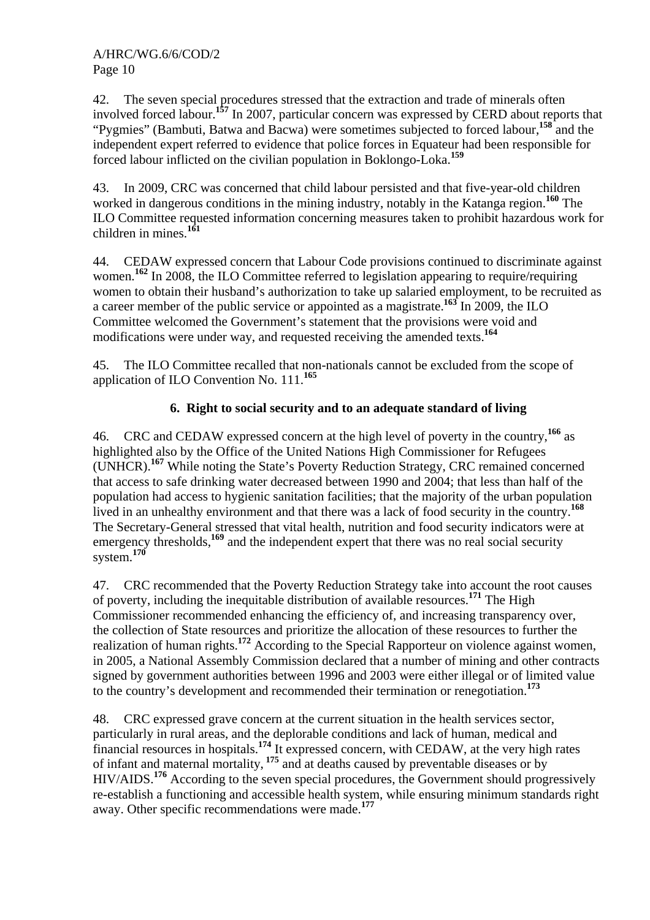42. The seven special procedures stressed that the extraction and trade of minerals often involved forced labour.**<sup>157</sup>** In 2007, particular concern was expressed by CERD about reports that "Pygmies" (Bambuti, Batwa and Bacwa) were sometimes subjected to forced labour,<sup>158</sup> and the independent expert referred to evidence that police forces in Equateur had been responsible for forced labour inflicted on the civilian population in Boklongo-Loka.**<sup>159</sup>**

43. In 2009, CRC was concerned that child labour persisted and that five-year-old children worked in dangerous conditions in the mining industry, notably in the Katanga region.**<sup>160</sup>** The ILO Committee requested information concerning measures taken to prohibit hazardous work for children in mines.**<sup>161</sup>**

44. CEDAW expressed concern that Labour Code provisions continued to discriminate against women.<sup>162</sup> In 2008, the ILO Committee referred to legislation appearing to require/requiring women to obtain their husband's authorization to take up salaried employment, to be recruited as a career member of the public service or appointed as a magistrate.<sup>163</sup> In 2009, the ILO Committee welcomed the Government's statement that the provisions were void and modifications were under way, and requested receiving the amended texts.**<sup>164</sup>**

45. The ILO Committee recalled that non-nationals cannot be excluded from the scope of application of ILO Convention No. 111.**<sup>165</sup>**

# **6. Right to social security and to an adequate standard of living**

46. CRC and CEDAW expressed concern at the high level of poverty in the country,**<sup>166</sup>** as highlighted also by the Office of the United Nations High Commissioner for Refugees (UNHCR).**<sup>167</sup>** While noting the State's Poverty Reduction Strategy, CRC remained concerned that access to safe drinking water decreased between 1990 and 2004; that less than half of the population had access to hygienic sanitation facilities; that the majority of the urban population lived in an unhealthy environment and that there was a lack of food security in the country.**<sup>168</sup>** The Secretary-General stressed that vital health, nutrition and food security indicators were at emergency thresholds,<sup>169</sup> and the independent expert that there was no real social security emergency thresholds,<sup>169</sup> system.**<sup>170</sup>**

47. CRC recommended that the Poverty Reduction Strategy take into account the root causes of poverty, including the inequitable distribution of available resources.**<sup>171</sup>** The High Commissioner recommended enhancing the efficiency of, and increasing transparency over, the collection of State resources and prioritize the allocation of these resources to further the realization of human rights.**<sup>172</sup>** According to the Special Rapporteur on violence against women, in 2005, a National Assembly Commission declared that a number of mining and other contracts signed by government authorities between 1996 and 2003 were either illegal or of limited value to the country's development and recommended their termination or renegotiation.**<sup>173</sup>**

48. CRC expressed grave concern at the current situation in the health services sector, particularly in rural areas, and the deplorable conditions and lack of human, medical and financial resources in hospitals.**<sup>174</sup>** It expressed concern, with CEDAW, at the very high rates of infant and maternal mortality, **<sup>175</sup>** and at deaths caused by preventable diseases or by HIV/AIDS.**<sup>176</sup>** According to the seven special procedures, the Government should progressively re-establish a functioning and accessible health system, while ensuring minimum standards right away. Other specific recommendations were made.**<sup>177</sup>**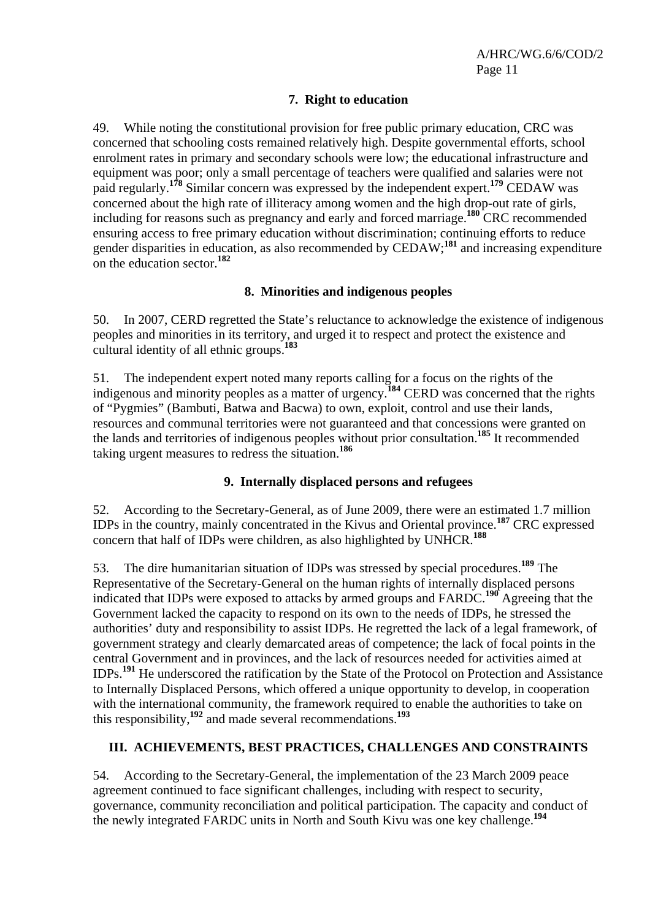## **7. Right to education**

49. While noting the constitutional provision for free public primary education, CRC was concerned that schooling costs remained relatively high. Despite governmental efforts, school enrolment rates in primary and secondary schools were low; the educational infrastructure and equipment was poor; only a small percentage of teachers were qualified and salaries were not paid regularly.**<sup>178</sup>** Similar concern was expressed by the independent expert.**<sup>179</sup>** CEDAW was concerned about the high rate of illiteracy among women and the high drop-out rate of girls, including for reasons such as pregnancy and early and forced marriage.**<sup>180</sup>** CRC recommended ensuring access to free primary education without discrimination; continuing efforts to reduce gender disparities in education, as also recommended by CEDAW;<sup>181</sup> and increasing expenditure on the education sector.**<sup>182</sup>**

# **8. Minorities and indigenous peoples**

50. In 2007, CERD regretted the State's reluctance to acknowledge the existence of indigenous peoples and minorities in its territory, and urged it to respect and protect the existence and cultural identity of all ethnic groups.**<sup>183</sup>**

51. The independent expert noted many reports calling for a focus on the rights of the indigenous and minority peoples as a matter of urgency.**<sup>184</sup>** CERD was concerned that the rights of "Pygmies" (Bambuti, Batwa and Bacwa) to own, exploit, control and use their lands, resources and communal territories were not guaranteed and that concessions were granted on the lands and territories of indigenous peoples without prior consultation.**<sup>185</sup>** It recommended taking urgent measures to redress the situation.**<sup>186</sup>**

# **9. Internally displaced persons and refugees**

52. According to the Secretary-General, as of June 2009, there were an estimated 1.7 million IDPs in the country, mainly concentrated in the Kivus and Oriental province.**<sup>187</sup>** CRC expressed concern that half of IDPs were children, as also highlighted by UNHCR.**<sup>188</sup>**

53. The dire humanitarian situation of IDPs was stressed by special procedures.**<sup>189</sup>** The Representative of the Secretary-General on the human rights of internally displaced persons indicated that IDPs were exposed to attacks by armed groups and FARDC.**<sup>190</sup>** Agreeing that the Government lacked the capacity to respond on its own to the needs of IDPs, he stressed the authorities' duty and responsibility to assist IDPs. He regretted the lack of a legal framework, of government strategy and clearly demarcated areas of competence; the lack of focal points in the central Government and in provinces, and the lack of resources needed for activities aimed at IDPs.**<sup>191</sup>** He underscored the ratification by the State of the Protocol on Protection and Assistance to Internally Displaced Persons, which offered a unique opportunity to develop, in cooperation with the international community, the framework required to enable the authorities to take on this responsibility,**<sup>192</sup>** and made several recommendations.**<sup>193</sup>**

# **III. ACHIEVEMENTS, BEST PRACTICES, CHALLENGES AND CONSTRAINTS**

54. According to the Secretary-General, the implementation of the 23 March 2009 peace agreement continued to face significant challenges, including with respect to security, governance, community reconciliation and political participation. The capacity and conduct of the newly integrated FARDC units in North and South Kivu was one key challenge.**<sup>194</sup>**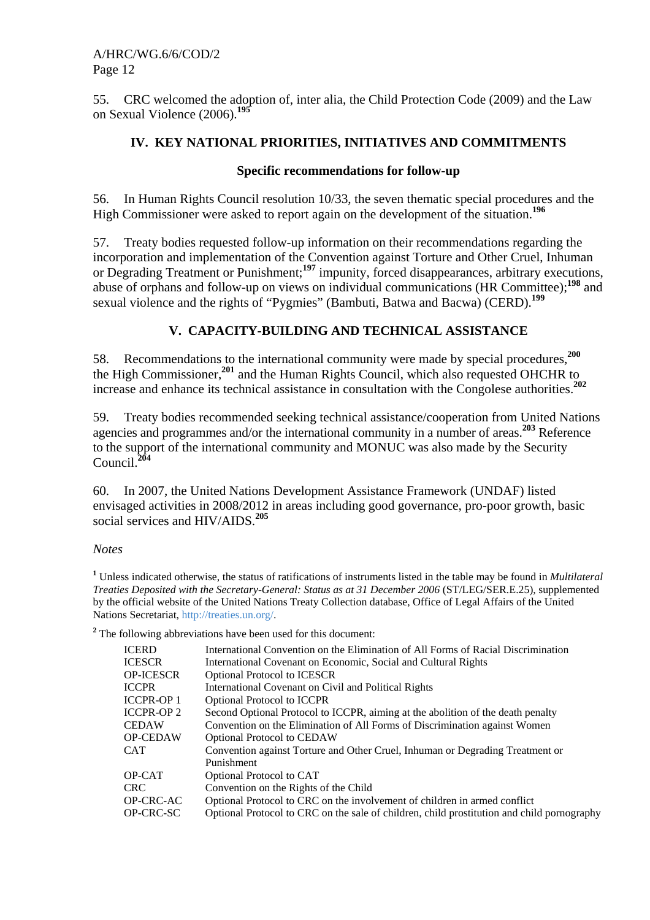55. CRC welcomed the adoption of, inter alia, the Child Protection Code (2009) and the Law on Sexual Violence (2006).**<sup>195</sup>**

## **IV. KEY NATIONAL PRIORITIES, INITIATIVES AND COMMITMENTS**

### **Specific recommendations for follow-up**

56. In Human Rights Council resolution 10/33, the seven thematic special procedures and the High Commissioner were asked to report again on the development of the situation.**<sup>196</sup>**

57. Treaty bodies requested follow-up information on their recommendations regarding the incorporation and implementation of the Convention against Torture and Other Cruel, Inhuman or Degrading Treatment or Punishment;**<sup>197</sup>** impunity, forced disappearances, arbitrary executions, abuse of orphans and follow-up on views on individual communications (HR Committee);**<sup>198</sup>** and sexual violence and the rights of "Pygmies" (Bambuti, Batwa and Bacwa) (CERD).**<sup>199</sup>**

# **V. CAPACITY-BUILDING AND TECHNICAL ASSISTANCE**

58. Recommendations to the international community were made by special procedures,**<sup>200</sup>** the High Commissioner,**<sup>201</sup>** and the Human Rights Council, which also requested OHCHR to increase and enhance its technical assistance in consultation with the Congolese authorities.**<sup>202</sup>**

59. Treaty bodies recommended seeking technical assistance/cooperation from United Nations agencies and programmes and/or the international community in a number of areas.**<sup>203</sup>** Reference to the support of the international community and MONUC was also made by the Security Council.**<sup>204</sup>**

60. In 2007, the United Nations Development Assistance Framework (UNDAF) listed envisaged activities in 2008/2012 in areas including good governance, pro-poor growth, basic social services and HIV/AIDS.**<sup>205</sup>**

### *Notes*

**1** Unless indicated otherwise, the status of ratifications of instruments listed in the table may be found in *Multilateral Treaties Deposited with the Secretary-General: Status as at 31 December 2006* (ST/LEG/SER.E.25), supplemented by the official website of the United Nations Treaty Collection database, Office of Legal Affairs of the United Nations Secretariat, http://treaties.un.org/.

<sup>2</sup> The following abbreviations have been used for this document:

| International Convention on the Elimination of All Forms of Racial Discrimination          |
|--------------------------------------------------------------------------------------------|
| International Covenant on Economic, Social and Cultural Rights                             |
| <b>Optional Protocol to ICESCR</b>                                                         |
| International Covenant on Civil and Political Rights                                       |
| <b>Optional Protocol to ICCPR</b>                                                          |
| Second Optional Protocol to ICCPR, aiming at the abolition of the death penalty            |
| Convention on the Elimination of All Forms of Discrimination against Women                 |
| <b>Optional Protocol to CEDAW</b>                                                          |
| Convention against Torture and Other Cruel, Inhuman or Degrading Treatment or              |
| Punishment                                                                                 |
| Optional Protocol to CAT                                                                   |
| Convention on the Rights of the Child                                                      |
| Optional Protocol to CRC on the involvement of children in armed conflict                  |
| Optional Protocol to CRC on the sale of children, child prostitution and child pornography |
|                                                                                            |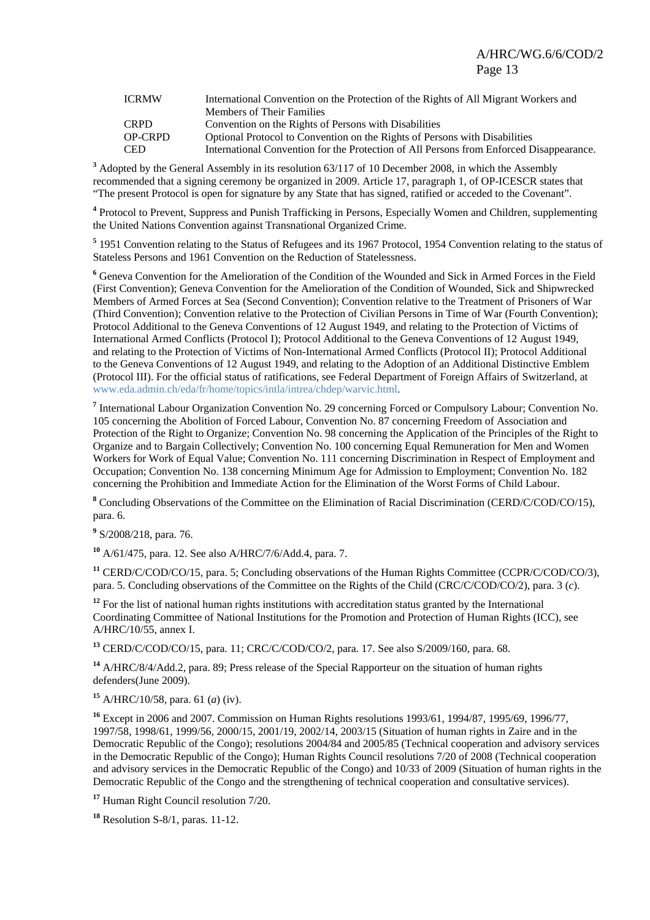| <b>ICRMW</b>   | International Convention on the Protection of the Rights of All Migrant Workers and     |
|----------------|-----------------------------------------------------------------------------------------|
|                | <b>Members of Their Families</b>                                                        |
| <b>CRPD</b>    | Convention on the Rights of Persons with Disabilities                                   |
| <b>OP-CRPD</b> | Optional Protocol to Convention on the Rights of Persons with Disabilities              |
| <b>CED</b>     | International Convention for the Protection of All Persons from Enforced Disappearance. |

<sup>3</sup> Adopted by the General Assembly in its resolution 63/117 of 10 December 2008, in which the Assembly recommended that a signing ceremony be organized in 2009. Article 17, paragraph 1, of OP-ICESCR states that "The present Protocol is open for signature by any State that has signed, ratified or acceded to the Covenant".

<sup>4</sup> Protocol to Prevent, Suppress and Punish Trafficking in Persons, Especially Women and Children, supplementing the United Nations Convention against Transnational Organized Crime.

<sup>5</sup> 1951 Convention relating to the Status of Refugees and its 1967 Protocol, 1954 Convention relating to the status of Stateless Persons and 1961 Convention on the Reduction of Statelessness.

**6** Geneva Convention for the Amelioration of the Condition of the Wounded and Sick in Armed Forces in the Field (First Convention); Geneva Convention for the Amelioration of the Condition of Wounded, Sick and Shipwrecked Members of Armed Forces at Sea (Second Convention); Convention relative to the Treatment of Prisoners of War (Third Convention); Convention relative to the Protection of Civilian Persons in Time of War (Fourth Convention); Protocol Additional to the Geneva Conventions of 12 August 1949, and relating to the Protection of Victims of International Armed Conflicts (Protocol I); Protocol Additional to the Geneva Conventions of 12 August 1949, and relating to the Protection of Victims of Non-International Armed Conflicts (Protocol II); Protocol Additional to the Geneva Conventions of 12 August 1949, and relating to the Adoption of an Additional Distinctive Emblem (Protocol III). For the official status of ratifications, see Federal Department of Foreign Affairs of Switzerland, at www.eda.admin.ch/eda/fr/home/topics/intla/intrea/chdep/warvic.html.

<sup>7</sup> International Labour Organization Convention No. 29 concerning Forced or Compulsory Labour; Convention No. 105 concerning the Abolition of Forced Labour, Convention No. 87 concerning Freedom of Association and Protection of the Right to Organize; Convention No. 98 concerning the Application of the Principles of the Right to Organize and to Bargain Collectively; Convention No. 100 concerning Equal Remuneration for Men and Women Workers for Work of Equal Value; Convention No. 111 concerning Discrimination in Respect of Employment and Occupation; Convention No. 138 concerning Minimum Age for Admission to Employment; Convention No. 182 concerning the Prohibition and Immediate Action for the Elimination of the Worst Forms of Child Labour.

<sup>8</sup> Concluding Observations of the Committee on the Elimination of Racial Discrimination (CERD/C/COD/CO/15), para. 6.

**9** S/2008/218, para. 76.

**<sup>10</sup>** A/61/475, para. 12. See also A/HRC/7/6/Add.4, para. 7.

**<sup>11</sup>** CERD/C/COD/CO/15, para. 5; Concluding observations of the Human Rights Committee (CCPR/C/COD/CO/3), para. 5. Concluding observations of the Committee on the Rights of the Child (CRC/C/COD/CO/2), para. 3 (*c*).

<sup>12</sup> For the list of national human rights institutions with accreditation status granted by the International Coordinating Committee of National Institutions for the Promotion and Protection of Human Rights (ICC), see A/HRC/10/55, annex I.

**<sup>13</sup>** CERD/C/COD/CO/15, para. 11; CRC/C/COD/CO/2, para. 17. See also S/2009/160, para. 68.

**<sup>14</sup>** A/HRC/8/4/Add.2, para. 89; Press release of the Special Rapporteur on the situation of human rights defenders(June 2009).

**<sup>15</sup>** A/HRC/10/58, para. 61 (*a*) (iv).

**<sup>16</sup>** Except in 2006 and 2007. Commission on Human Rights resolutions 1993/61, 1994/87, 1995/69, 1996/77, 1997/58, 1998/61, 1999/56, 2000/15, 2001/19, 2002/14, 2003/15 (Situation of human rights in Zaire and in the Democratic Republic of the Congo); resolutions 2004/84 and 2005/85 (Technical cooperation and advisory services in the Democratic Republic of the Congo); Human Rights Council resolutions 7/20 of 2008 (Technical cooperation and advisory services in the Democratic Republic of the Congo) and 10/33 of 2009 (Situation of human rights in the Democratic Republic of the Congo and the strengthening of technical cooperation and consultative services).

**<sup>17</sup>** Human Right Council resolution 7/20.

**<sup>18</sup>** Resolution S-8/1, paras. 11-12.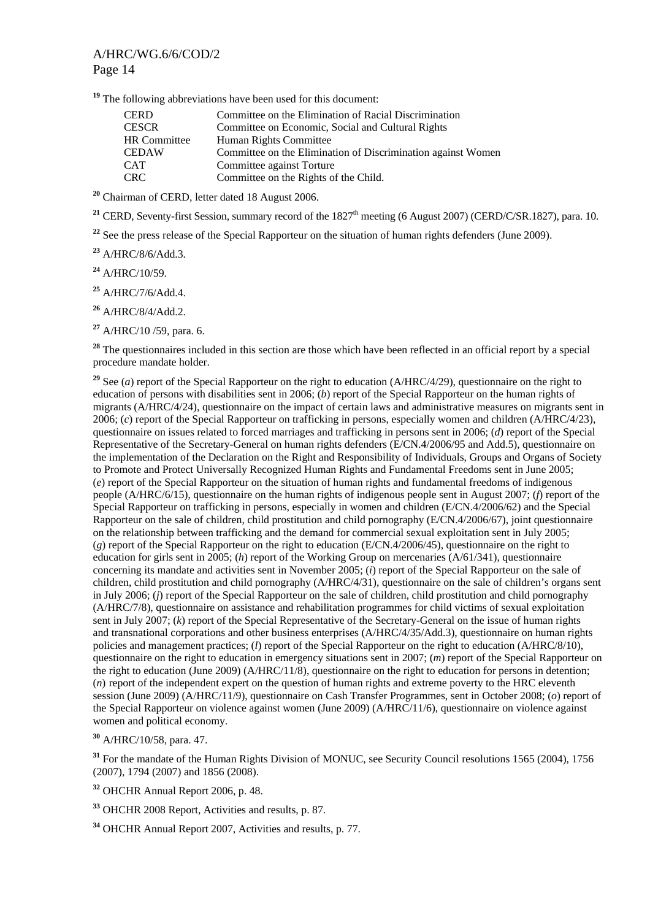**<sup>19</sup>** The following abbreviations have been used for this document:

| <b>CERD</b>         | Committee on the Elimination of Racial Discrimination        |
|---------------------|--------------------------------------------------------------|
| <b>CESCR</b>        | Committee on Economic, Social and Cultural Rights            |
| <b>HR</b> Committee | Human Rights Committee                                       |
| <b>CEDAW</b>        | Committee on the Elimination of Discrimination against Women |
| <b>CAT</b>          | Committee against Torture                                    |
| <b>CRC</b>          | Committee on the Rights of the Child.                        |

**<sup>20</sup>** Chairman of CERD, letter dated 18 August 2006.

<sup>21</sup> CERD, Seventy-first Session, summary record of the  $1827<sup>th</sup>$  meeting (6 August 2007) (CERD/C/SR.1827), para. 10.

<sup>22</sup> See the press release of the Special Rapporteur on the situation of human rights defenders (June 2009).

**<sup>23</sup>** A/HRC/8/6/Add.3.

**<sup>24</sup>** A/HRC/10/59.

**<sup>25</sup>** A/HRC/7/6/Add.4.

**<sup>26</sup>** A/HRC/8/4/Add.2.

**<sup>27</sup>** A/HRC/10 /59, para. 6.

<sup>28</sup> The questionnaires included in this section are those which have been reflected in an official report by a special procedure mandate holder.

**<sup>29</sup>** See (*a*) report of the Special Rapporteur on the right to education (A/HRC/4/29), questionnaire on the right to education of persons with disabilities sent in 2006; (*b*) report of the Special Rapporteur on the human rights of migrants (A/HRC/4/24), questionnaire on the impact of certain laws and administrative measures on migrants sent in 2006; (*c*) report of the Special Rapporteur on trafficking in persons, especially women and children (A/HRC/4/23), questionnaire on issues related to forced marriages and trafficking in persons sent in 2006; (*d*) report of the Special Representative of the Secretary-General on human rights defenders (E/CN.4/2006/95 and Add.5), questionnaire on the implementation of the Declaration on the Right and Responsibility of Individuals, Groups and Organs of Society to Promote and Protect Universally Recognized Human Rights and Fundamental Freedoms sent in June 2005; (*e*) report of the Special Rapporteur on the situation of human rights and fundamental freedoms of indigenous people (A/HRC/6/15), questionnaire on the human rights of indigenous people sent in August 2007; (*f*) report of the Special Rapporteur on trafficking in persons, especially in women and children (E/CN.4/2006/62) and the Special Rapporteur on the sale of children, child prostitution and child pornography (E/CN.4/2006/67), joint questionnaire on the relationship between trafficking and the demand for commercial sexual exploitation sent in July 2005; (*g*) report of the Special Rapporteur on the right to education (E/CN.4/2006/45), questionnaire on the right to education for girls sent in 2005; (*h*) report of the Working Group on mercenaries (A/61/341), questionnaire concerning its mandate and activities sent in November 2005; (*i*) report of the Special Rapporteur on the sale of children, child prostitution and child pornography (A/HRC/4/31), questionnaire on the sale of children's organs sent in July 2006; (*j*) report of the Special Rapporteur on the sale of children, child prostitution and child pornography (A/HRC/7/8), questionnaire on assistance and rehabilitation programmes for child victims of sexual exploitation sent in July 2007; (*k*) report of the Special Representative of the Secretary-General on the issue of human rights and transnational corporations and other business enterprises (A/HRC/4/35/Add.3), questionnaire on human rights policies and management practices; (*l*) report of the Special Rapporteur on the right to education (A/HRC/8/10), questionnaire on the right to education in emergency situations sent in 2007; (*m*) report of the Special Rapporteur on the right to education (June 2009) (A/HRC/11/8), questionnaire on the right to education for persons in detention; (*n*) report of the independent expert on the question of human rights and extreme poverty to the HRC eleventh session (June 2009) (A/HRC/11/9), questionnaire on Cash Transfer Programmes, sent in October 2008; (*o*) report of the Special Rapporteur on violence against women (June 2009) (A/HRC/11/6), questionnaire on violence against women and political economy.

**<sup>30</sup>** A/HRC/10/58, para. 47.

<sup>31</sup> For the mandate of the Human Rights Division of MONUC, see Security Council resolutions 1565 (2004), 1756 (2007), 1794 (2007) and 1856 (2008).

**<sup>32</sup>** OHCHR Annual Report 2006, p. 48.

**<sup>33</sup>** OHCHR 2008 Report, Activities and results, p. 87.

**<sup>34</sup>** OHCHR Annual Report 2007, Activities and results, p. 77.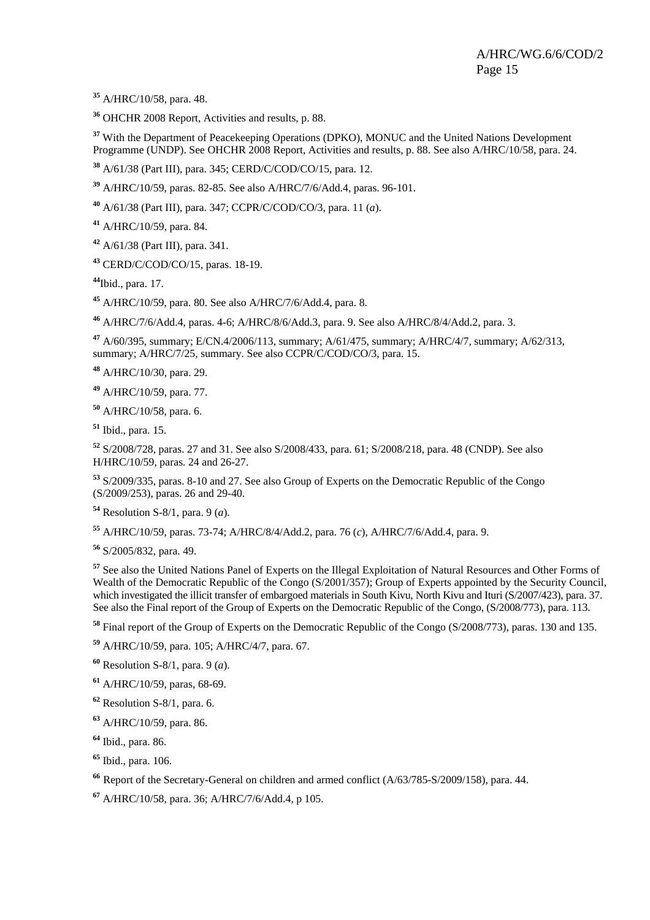A/HRC/10/58, para. 48.

OHCHR 2008 Report, Activities and results, p. 88.

<sup>37</sup> With the Department of Peacekeeping Operations (DPKO), MONUC and the United Nations Development Programme (UNDP). See OHCHR 2008 Report, Activities and results, p. 88. See also A/HRC/10/58, para. 24.

A/61/38 (Part III), para. 345; CERD/C/COD/CO/15, para. 12.

A/HRC/10/59, paras. 82-85. See also A/HRC/7/6/Add.4, paras. 96-101.

A/61/38 (Part III), para. 347; CCPR/C/COD/CO/3, para. 11 (*a*).

A/HRC/10/59, para. 84.

A/61/38 (Part III), para. 341.

CERD/C/COD/CO/15, paras. 18-19.

Ibid., para. 17.

A/HRC/10/59, para. 80. See also A/HRC/7/6/Add.4, para. 8.

A/HRC/7/6/Add.4, paras. 4-6; A/HRC/8/6/Add.3, para. 9. See also A/HRC/8/4/Add.2, para. 3.

 A/60/395, summary; E/CN.4/2006/113, summary; A/61/475, summary; A/HRC/4/7, summary; A/62/313, summary; A/HRC/7/25, summary. See also CCPR/C/COD/CO/3, para. 15.

A/HRC/10/30, para. 29.

A/HRC/10/59, para. 77.

A/HRC/10/58, para. 6.

Ibid., para. 15.

 S/2008/728, paras. 27 and 31. See also S/2008/433, para. 61; S/2008/218, para. 48 (CNDP). See also H/HRC/10/59, paras. 24 and 26-27.

 S/2009/335, paras. 8-10 and 27. See also Group of Experts on the Democratic Republic of the Congo (S/2009/253), paras. 26 and 29-40.

Resolution S-8/1, para. 9 (*a*).

A/HRC/10/59, paras. 73-74; A/HRC/8/4/Add.2, para. 76 (*c*), A/HRC/7/6/Add.4, para. 9.

S/2005/832, para. 49.

 See also the United Nations Panel of Experts on the Illegal Exploitation of Natural Resources and Other Forms of Wealth of the Democratic Republic of the Congo (S/2001/357); Group of Experts appointed by the Security Council, which investigated the illicit transfer of embargoed materials in South Kivu, North Kivu and Ituri (S/2007/423), para. 37. See also the Final report of the Group of Experts on the Democratic Republic of the Congo, (S/2008/773), para. 113.

Final report of the Group of Experts on the Democratic Republic of the Congo (S/2008/773), paras. 130 and 135.

A/HRC/10/59, para. 105; A/HRC/4/7, para. 67.

Resolution S-8/1, para. 9 (*a*).

A/HRC/10/59, paras, 68-69.

Resolution S-8/1, para. 6.

A/HRC/10/59, para. 86.

Ibid., para. 86.

Ibid., para. 106.

Report of the Secretary-General on children and armed conflict (A/63/785-S/2009/158), para. 44.

A/HRC/10/58, para. 36; A/HRC/7/6/Add.4, p 105.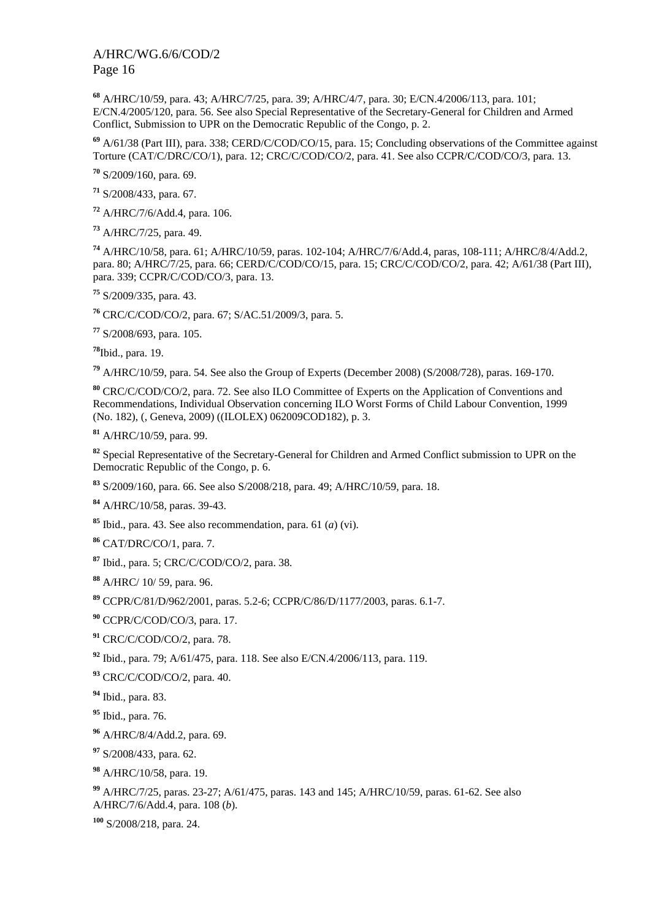A/HRC/10/59, para. 43; A/HRC/7/25, para. 39; A/HRC/4/7, para. 30; E/CN.4/2006/113, para. 101; E/CN.4/2005/120, para. 56. See also Special Representative of the Secretary-General for Children and Armed Conflict, Submission to UPR on the Democratic Republic of the Congo, p. 2.

 A/61/38 (Part III), para. 338; CERD/C/COD/CO/15, para. 15; Concluding observations of the Committee against Torture (CAT/C/DRC/CO/1), para. 12; CRC/C/COD/CO/2, para. 41. See also CCPR/C/COD/CO/3, para. 13.

S/2009/160, para. 69.

S/2008/433, para. 67.

A/HRC/7/6/Add.4, para. 106.

A/HRC/7/25, para. 49.

 A/HRC/10/58, para. 61; A/HRC/10/59, paras. 102-104; A/HRC/7/6/Add.4, paras, 108-111; A/HRC/8/4/Add.2, para. 80; A/HRC/7/25, para. 66; CERD/C/COD/CO/15, para. 15; CRC/C/COD/CO/2, para. 42; A/61/38 (Part III), para. 339; CCPR/C/COD/CO/3, para. 13.

S/2009/335, para. 43.

CRC/C/COD/CO/2, para. 67; S/AC.51/2009/3, para. 5.

S/2008/693, para. 105.

Ibid., para. 19.

A/HRC/10/59, para. 54. See also the Group of Experts (December 2008) (S/2008/728), paras. 169-170.

 CRC/C/COD/CO/2, para. 72. See also ILO Committee of Experts on the Application of Conventions and Recommendations, Individual Observation concerning ILO Worst Forms of Child Labour Convention, 1999 (No. 182), (, Geneva, 2009) ((ILOLEX) 062009COD182), p. 3.

A/HRC/10/59, para. 99.

 Special Representative of the Secretary-General for Children and Armed Conflict submission to UPR on the Democratic Republic of the Congo, p. 6.

S/2009/160, para. 66. See also S/2008/218, para. 49; A/HRC/10/59, para. 18.

A/HRC/10/58, paras. 39-43.

Ibid., para. 43. See also recommendation, para. 61 (*a*) (vi).

CAT/DRC/CO/1, para. 7.

Ibid., para. 5; CRC/C/COD/CO/2, para. 38.

A/HRC/ 10/ 59, para. 96.

CCPR/C/81/D/962/2001, paras. 5.2-6; CCPR/C/86/D/1177/2003, paras. 6.1-7.

CCPR/C/COD/CO/3, para. 17.

CRC/C/COD/CO/2, para. 78.

Ibid., para. 79; A/61/475, para. 118. See also E/CN.4/2006/113, para. 119.

CRC/C/COD/CO/2, para. 40.

Ibid., para. 83.

Ibid., para. 76.

A/HRC/8/4/Add.2, para. 69.

S/2008/433, para. 62.

A/HRC/10/58, para. 19.

 A/HRC/7/25, paras. 23-27; A/61/475, paras. 143 and 145; A/HRC/10/59, paras. 61-62. See also A/HRC/7/6/Add.4, para. 108 (*b*).

S/2008/218, para. 24.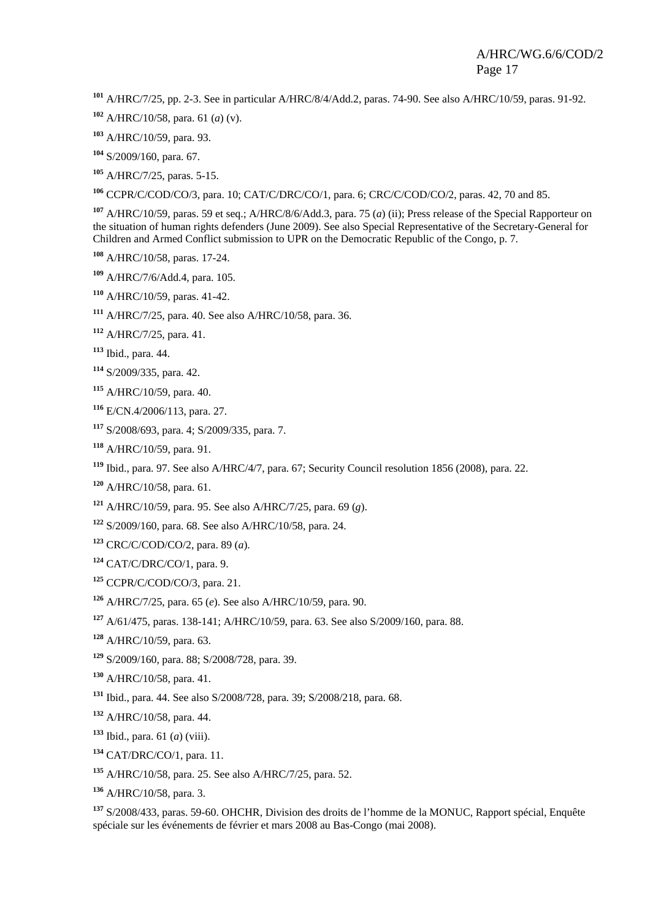A/HRC/7/25, pp. 2-3. See in particular A/HRC/8/4/Add.2, paras. 74-90. See also A/HRC/10/59, paras. 91-92.

- A/HRC/10/58, para. 61 (*a*) (v).
- A/HRC/10/59, para. 93.
- S/2009/160, para. 67.
- A/HRC/7/25, paras. 5-15.

CCPR/C/COD/CO/3, para. 10; CAT/C/DRC/CO/1, para. 6; CRC/C/COD/CO/2, paras. 42, 70 and 85.

 A/HRC/10/59, paras. 59 et seq.; A/HRC/8/6/Add.3, para. 75 (*a*) (ii); Press release of the Special Rapporteur on the situation of human rights defenders (June 2009). See also Special Representative of the Secretary-General for Children and Armed Conflict submission to UPR on the Democratic Republic of the Congo, p. 7.

- A/HRC/10/58, paras. 17-24.
- A/HRC/7/6/Add.4, para. 105.
- A/HRC/10/59, paras. 41-42.
- A/HRC/7/25, para. 40. See also A/HRC/10/58, para. 36.
- A/HRC/7/25, para. 41.
- Ibid., para. 44.
- S/2009/335, para. 42.
- A/HRC/10/59, para. 40.
- E/CN.4/2006/113, para. 27.
- S/2008/693, para. 4; S/2009/335, para. 7.
- A/HRC/10/59, para. 91.
- Ibid., para. 97. See also A/HRC/4/7, para. 67; Security Council resolution 1856 (2008), para. 22.
- A/HRC/10/58, para. 61.
- A/HRC/10/59, para. 95. See also A/HRC/7/25, para. 69 (*g*).
- S/2009/160, para. 68. See also A/HRC/10/58, para. 24.
- CRC/C/COD/CO/2, para. 89 (*a*).
- CAT/C/DRC/CO/1, para. 9.
- CCPR/C/COD/CO/3, para. 21.
- A/HRC/7/25, para. 65 (*e*). See also A/HRC/10/59, para. 90.
- A/61/475, paras. 138-141; A/HRC/10/59, para. 63. See also S/2009/160, para. 88.
- A/HRC/10/59, para. 63.
- S/2009/160, para. 88; S/2008/728, para. 39.
- A/HRC/10/58, para. 41.
- Ibid., para. 44. See also S/2008/728, para. 39; S/2008/218, para. 68.
- A/HRC/10/58, para. 44.
- Ibid., para. 61 (*a*) (viii).
- CAT/DRC/CO/1, para. 11.
- A/HRC/10/58, para. 25. See also A/HRC/7/25, para. 52.
- A/HRC/10/58, para. 3.

 S/2008/433, paras. 59-60. OHCHR, Division des droits de l'homme de la MONUC, Rapport spécial, Enquête spéciale sur les événements de février et mars 2008 au Bas-Congo (mai 2008).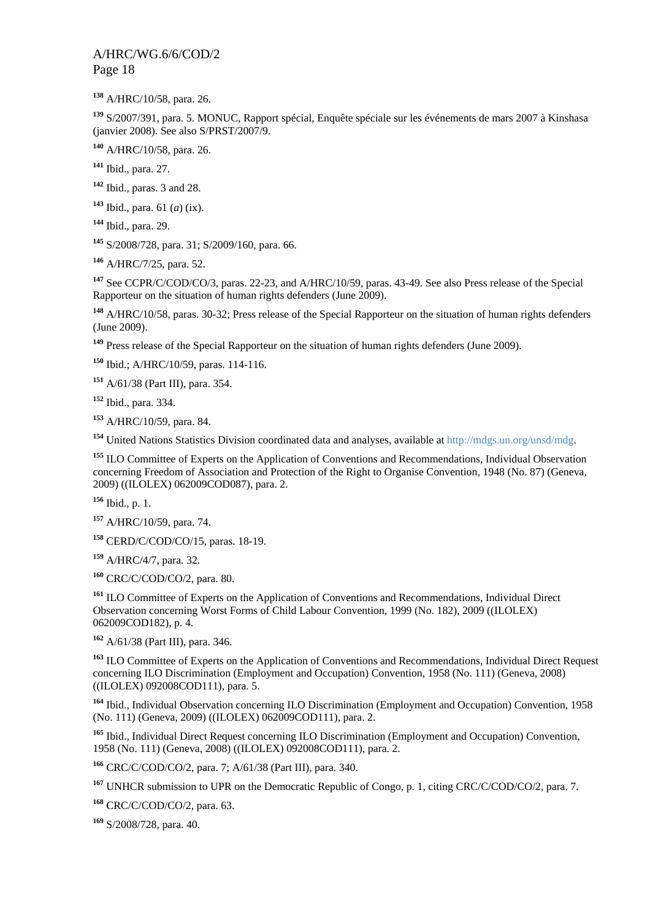A/HRC/10/58, para. 26.

 S/2007/391, para. 5. MONUC, Rapport spécial, Enquête spéciale sur les événements de mars 2007 à Kinshasa (janvier 2008). See also S/PRST/2007/9.

A/HRC/10/58, para. 26.

Ibid., para. 27.

Ibid., paras. 3 and 28.

Ibid., para. 61 (*a*) (ix).

Ibid., para. 29.

S/2008/728, para. 31; S/2009/160, para. 66.

A/HRC/7/25, para. 52.

 See CCPR/C/COD/CO/3, paras. 22-23, and A/HRC/10/59, paras. 43-49. See also Press release of the Special Rapporteur on the situation of human rights defenders (June 2009).

 A/HRC/10/58, paras. 30-32; Press release of the Special Rapporteur on the situation of human rights defenders (June 2009).

Press release of the Special Rapporteur on the situation of human rights defenders (June 2009).

Ibid.; A/HRC/10/59, paras. 114-116.

A/61/38 (Part III), para. 354.

Ibid., para. 334.

A/HRC/10/59, para. 84.

United Nations Statistics Division coordinated data and analyses, available at http://mdgs.un.org/unsd/mdg.

 ILO Committee of Experts on the Application of Conventions and Recommendations, Individual Observation concerning Freedom of Association and Protection of the Right to Organise Convention, 1948 (No. 87) (Geneva, 2009) ((ILOLEX) 062009COD087), para. 2.

Ibid., p. 1.

A/HRC/10/59, para. 74.

CERD/C/COD/CO/15, paras. 18-19.

A/HRC/4/7, para. 32.

CRC/C/COD/CO/2, para. 80.

 ILO Committee of Experts on the Application of Conventions and Recommendations, Individual Direct Observation concerning Worst Forms of Child Labour Convention, 1999 (No. 182), 2009 ((ILOLEX) 062009COD182), p. 4.

A/61/38 (Part III), para. 346.

 ILO Committee of Experts on the Application of Conventions and Recommendations, Individual Direct Request concerning ILO Discrimination (Employment and Occupation) Convention, 1958 (No. 111) (Geneva, 2008) ((ILOLEX) 092008COD111), para. 5.

 Ibid., Individual Observation concerning ILO Discrimination (Employment and Occupation) Convention, 1958 (No. 111) (Geneva, 2009) ((ILOLEX) 062009COD111), para. 2.

 Ibid., Individual Direct Request concerning ILO Discrimination (Employment and Occupation) Convention, 1958 (No. 111) (Geneva, 2008) ((ILOLEX) 092008COD111), para. 2.

CRC/C/COD/CO/2, para. 7; A/61/38 (Part III), para. 340.

UNHCR submission to UPR on the Democratic Republic of Congo, p. 1, citing CRC/C/COD/CO/2, para. 7.

CRC/C/COD/CO/2, para. 63.

S/2008/728, para. 40.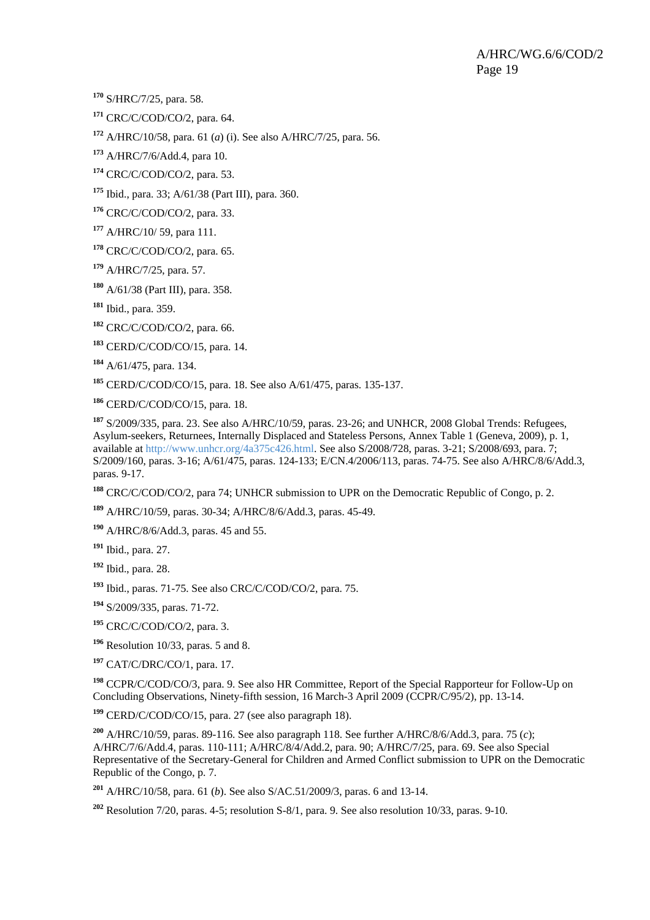S/HRC/7/25, para. 58.

CRC/C/COD/CO/2, para. 64.

A/HRC/10/58, para. 61 (*a*) (i). See also A/HRC/7/25, para. 56.

A/HRC/7/6/Add.4, para 10.

CRC/C/COD/CO/2, para. 53.

Ibid., para. 33; A/61/38 (Part III), para. 360.

CRC/C/COD/CO/2, para. 33.

A/HRC/10/ 59, para 111.

CRC/C/COD/CO/2, para. 65.

A/HRC/7/25, para. 57.

A/61/38 (Part III), para. 358.

Ibid., para. 359.

CRC/C/COD/CO/2, para. 66.

CERD/C/COD/CO/15, para. 14.

A/61/475, para. 134.

CERD/C/COD/CO/15, para. 18. See also A/61/475, paras. 135-137.

CERD/C/COD/CO/15, para. 18.

 S/2009/335, para. 23. See also A/HRC/10/59, paras. 23-26; and UNHCR, 2008 Global Trends: Refugees, Asylum-seekers, Returnees, Internally Displaced and Stateless Persons, Annex Table 1 (Geneva, 2009), p. 1, available at http://www.unhcr.org/4a375c426.html. See also S/2008/728, paras. 3-21; S/2008/693, para. 7; S/2009/160, paras. 3-16; A/61/475, paras. 124-133; E/CN.4/2006/113, paras. 74-75. See also A/HRC/8/6/Add.3, paras. 9-17.

CRC/C/COD/CO/2, para 74; UNHCR submission to UPR on the Democratic Republic of Congo, p. 2.

A/HRC/10/59, paras. 30-34; A/HRC/8/6/Add.3, paras. 45-49.

A/HRC/8/6/Add.3, paras. 45 and 55.

Ibid., para. 27.

Ibid., para. 28.

Ibid., paras. 71-75. See also CRC/C/COD/CO/2, para. 75.

S/2009/335, paras. 71-72.

CRC/C/COD/CO/2, para. 3.

Resolution 10/33, paras. 5 and 8.

CAT/C/DRC/CO/1, para. 17.

 CCPR/C/COD/CO/3, para. 9. See also HR Committee, Report of the Special Rapporteur for Follow-Up on Concluding Observations, Ninety-fifth session, 16 March-3 April 2009 (CCPR/C/95/2), pp. 13-14.

CERD/C/COD/CO/15, para. 27 (see also paragraph 18).

 A/HRC/10/59, paras. 89-116. See also paragraph 118. See further A/HRC/8/6/Add.3, para. 75 (*c*); A/HRC/7/6/Add.4, paras. 110-111; A/HRC/8/4/Add.2, para. 90; A/HRC/7/25, para. 69. See also Special Representative of the Secretary-General for Children and Armed Conflict submission to UPR on the Democratic Republic of the Congo, p. 7.

A/HRC/10/58, para. 61 (*b*). See also S/AC.51/2009/3, paras. 6 and 13-14.

Resolution 7/20, paras. 4-5; resolution S-8/1, para. 9. See also resolution 10/33, paras. 9-10.